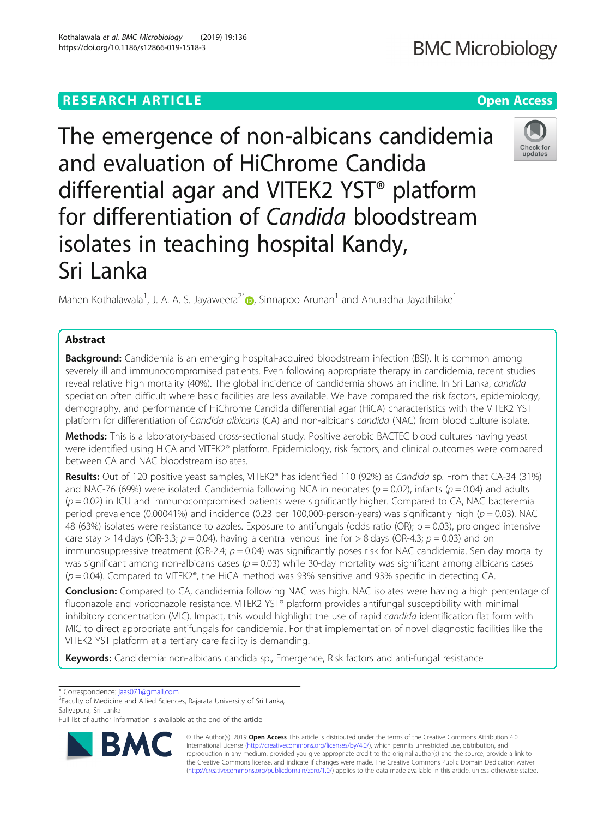# **RESEARCH ARTICLE Example 2018 12:30 THE Open Access**

The emergence of non-albicans candidemia and evaluation of HiChrome Candida differential agar and VITEK2 YST® platform for differentiation of Candida bloodstream isolates in teaching hospital Kandy, Sri Lanka

Mahen Kothalawala<sup>1</sup>[,](http://orcid.org/0000-0001-5051-530X) J. A. A. S. Jayaweera<sup>2\*</sup> , Sinnapoo Arunan<sup>1</sup> and Anuradha Jayathilake<sup>1</sup>

## Abstract

**Background:** Candidemia is an emerging hospital-acquired bloodstream infection (BSI). It is common among severely ill and immunocompromised patients. Even following appropriate therapy in candidemia, recent studies reveal relative high mortality (40%). The global incidence of candidemia shows an incline. In Sri Lanka, candida speciation often difficult where basic facilities are less available. We have compared the risk factors, epidemiology, demography, and performance of HiChrome Candida differential agar (HiCA) characteristics with the VITEK2 YST platform for differentiation of Candida albicans (CA) and non-albicans candida (NAC) from blood culture isolate.

Methods: This is a laboratory-based cross-sectional study. Positive aerobic BACTEC blood cultures having yeast were identified using HiCA and VITEK2® platform. Epidemiology, risk factors, and clinical outcomes were compared between CA and NAC bloodstream isolates.

Results: Out of 120 positive yeast samples, VITEK2<sup>®</sup> has identified 110 (92%) as Candida sp. From that CA-34 (31%) and NAC-76 (69%) were isolated. Candidemia following NCA in neonates ( $p = 0.02$ ), infants ( $p = 0.04$ ) and adults  $(p = 0.02)$  in ICU and immunocompromised patients were significantly higher. Compared to CA, NAC bacteremia period prevalence (0.00041%) and incidence (0.23 per 100,000-person-years) was significantly high ( $p = 0.03$ ). NAC 48 (63%) isolates were resistance to azoles. Exposure to antifungals (odds ratio (OR);  $p = 0.03$ ), prolonged intensive care stay > 14 days (OR-3.3;  $p = 0.04$ ), having a central venous line for > 8 days (OR-4.3;  $p = 0.03$ ) and on immunosuppressive treatment (OR-2.4;  $p = 0.04$ ) was significantly poses risk for NAC candidemia. Sen day mortality was significant among non-albicans cases ( $p = 0.03$ ) while 30-day mortality was significant among albicans cases  $(p = 0.04)$ . Compared to VITEK2<sup>®</sup>, the HiCA method was 93% sensitive and 93% specific in detecting CA.

Conclusion: Compared to CA, candidemia following NAC was high. NAC isolates were having a high percentage of fluconazole and voriconazole resistance. VITEK2 YST® platform provides antifungal susceptibility with minimal inhibitory concentration (MIC). Impact, this would highlight the use of rapid *candida* identification flat form with MIC to direct appropriate antifungals for candidemia. For that implementation of novel diagnostic facilities like the VITEK2 YST platform at a tertiary care facility is demanding.

Keywords: Candidemia: non-albicans candida sp., Emergence, Risk factors and anti-fungal resistance

\* Correspondence: [jaas071@gmail.com](mailto:jaas071@gmail.com)

<sup>2</sup>Faculty of Medicine and Allied Sciences, Rajarata University of Sri Lanka, Saliyapura, Sri Lanka

© The Author(s). 2019 Open Access This article is distributed under the terms of the Creative Commons Attribution 4.0 International License [\(http://creativecommons.org/licenses/by/4.0/](http://creativecommons.org/licenses/by/4.0/)), which permits unrestricted use, distribution, and reproduction in any medium, provided you give appropriate credit to the original author(s) and the source, provide a link to the Creative Commons license, and indicate if changes were made. The Creative Commons Public Domain Dedication waiver [\(http://creativecommons.org/publicdomain/zero/1.0/](http://creativecommons.org/publicdomain/zero/1.0/)) applies to the data made available in this article, unless otherwise stated.





Full list of author information is available at the end of the article

Kothalawala et al. BMC Microbiology (2019) 19:136 https://doi.org/10.1186/s12866-019-1518-3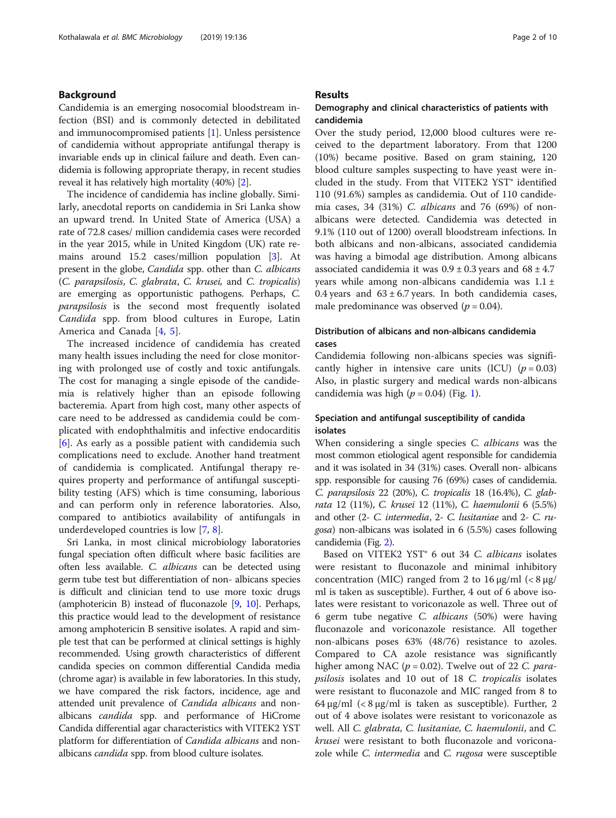#### Background

Candidemia is an emerging nosocomial bloodstream infection (BSI) and is commonly detected in debilitated and immunocompromised patients [[1\]](#page-8-0). Unless persistence of candidemia without appropriate antifungal therapy is invariable ends up in clinical failure and death. Even candidemia is following appropriate therapy, in recent studies reveal it has relatively high mortality (40%) [[2\]](#page-8-0).

The incidence of candidemia has incline globally. Similarly, anecdotal reports on candidemia in Sri Lanka show an upward trend. In United State of America (USA) a rate of 72.8 cases/ million candidemia cases were recorded in the year 2015, while in United Kingdom (UK) rate remains around 15.2 cases/million population [[3\]](#page-8-0). At present in the globe, Candida spp. other than C. albicans (C. parapsilosis, C. glabrata, C. krusei, and C. tropicalis) are emerging as opportunistic pathogens. Perhaps, C. parapsilosis is the second most frequently isolated Candida spp. from blood cultures in Europe, Latin America and Canada [\[4](#page-8-0), [5](#page-8-0)].

The increased incidence of candidemia has created many health issues including the need for close monitoring with prolonged use of costly and toxic antifungals. The cost for managing a single episode of the candidemia is relatively higher than an episode following bacteremia. Apart from high cost, many other aspects of care need to be addressed as candidemia could be complicated with endophthalmitis and infective endocarditis [[6\]](#page-8-0). As early as a possible patient with candidemia such complications need to exclude. Another hand treatment of candidemia is complicated. Antifungal therapy requires property and performance of antifungal susceptibility testing (AFS) which is time consuming, laborious and can perform only in reference laboratories. Also, compared to antibiotics availability of antifungals in underdeveloped countries is low [\[7](#page-8-0), [8](#page-8-0)].

Sri Lanka, in most clinical microbiology laboratories fungal speciation often difficult where basic facilities are often less available. C. albicans can be detected using germ tube test but differentiation of non- albicans species is difficult and clinician tend to use more toxic drugs (amphotericin B) instead of fluconazole [[9,](#page-8-0) [10](#page-8-0)]. Perhaps, this practice would lead to the development of resistance among amphotericin B sensitive isolates. A rapid and simple test that can be performed at clinical settings is highly recommended. Using growth characteristics of different candida species on common differential Candida media (chrome agar) is available in few laboratories. In this study, we have compared the risk factors, incidence, age and attended unit prevalence of Candida albicans and nonalbicans candida spp. and performance of HiCrome Candida differential agar characteristics with VITEK2 YST platform for differentiation of *Candida albicans* and nonalbicans *candida* spp. from blood culture isolates.

#### Results

#### Demography and clinical characteristics of patients with candidemia

Over the study period, 12,000 blood cultures were received to the department laboratory. From that 1200 (10%) became positive. Based on gram staining, 120 blood culture samples suspecting to have yeast were included in the study. From that VITEK2 YST® identified 110 (91.6%) samples as candidemia. Out of 110 candidemia cases, 34 (31%) C. albicans and 76 (69%) of nonalbicans were detected. Candidemia was detected in 9.1% (110 out of 1200) overall bloodstream infections. In both albicans and non-albicans, associated candidemia was having a bimodal age distribution. Among albicans associated candidemia it was  $0.9 \pm 0.3$  years and  $68 \pm 4.7$ years while among non-albicans candidemia was 1.1 ± 0.4 years and  $63 \pm 6.7$  years. In both candidemia cases, male predominance was observed ( $p = 0.04$ ).

#### Distribution of albicans and non-albicans candidemia cases

Candidemia following non-albicans species was significantly higher in intensive care units (ICU)  $(p = 0.03)$ Also, in plastic surgery and medical wards non-albicans candidemia was high ( $p = 0.04$ ) (Fig. [1\)](#page-2-0).

#### Speciation and antifungal susceptibility of candida isolates

When considering a single species C. albicans was the most common etiological agent responsible for candidemia and it was isolated in 34 (31%) cases. Overall non- albicans spp. responsible for causing 76 (69%) cases of candidemia. C. parapsilosis 22 (20%), C. tropicalis 18 (16.4%), C. glabrata 12 (11%), C. krusei 12 (11%), C. haemulonii 6 (5.5%) and other (2- C. intermedia, 2- C. lusitaniae and 2- C. rugosa) non-albicans was isolated in 6 (5.5%) cases following candidemia (Fig. [2](#page-2-0)).

Based on VITEK2 YST® 6 out 34 C. albicans isolates were resistant to fluconazole and minimal inhibitory concentration (MIC) ranged from 2 to 16 μg/ml (< 8 μg/ ml is taken as susceptible). Further, 4 out of 6 above isolates were resistant to voriconazole as well. Three out of 6 germ tube negative C. albicans (50%) were having fluconazole and voriconazole resistance. All together non-albicans poses 63% (48/76) resistance to azoles. Compared to CA azole resistance was significantly higher among NAC ( $p = 0.02$ ). Twelve out of 22 C. parapsilosis isolates and 10 out of 18 C. tropicalis isolates were resistant to fluconazole and MIC ranged from 8 to 64 μg/ml (< 8 μg/ml is taken as susceptible). Further, 2 out of 4 above isolates were resistant to voriconazole as well. All C. glabrata, C. lusitaniae, C. haemulonii, and C. krusei were resistant to both fluconazole and voriconazole while *C. intermedia* and *C. rugosa* were susceptible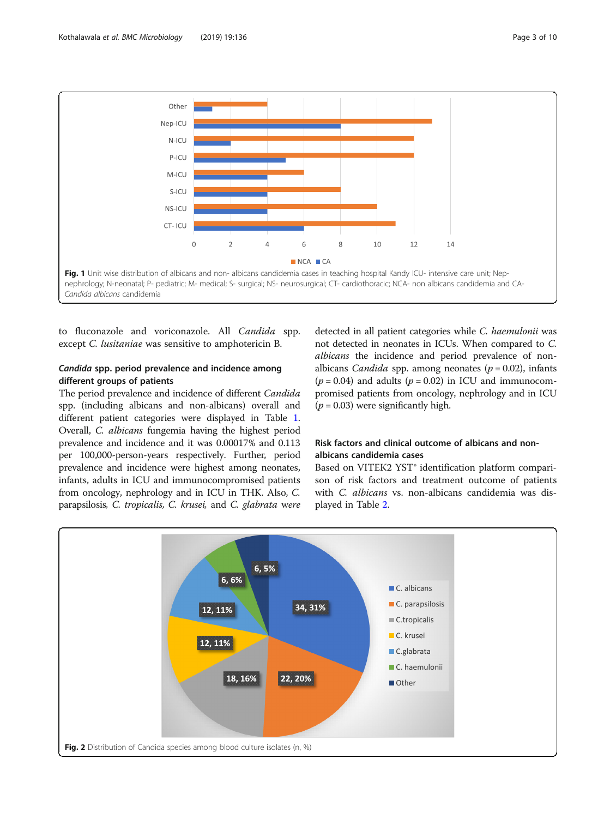<span id="page-2-0"></span>

to fluconazole and voriconazole. All Candida spp. except C. lusitaniae was sensitive to amphotericin B.

#### Candida spp. period prevalence and incidence among different groups of patients

The period prevalence and incidence of different Candida spp. (including albicans and non-albicans) overall and different patient categories were displayed in Table [1](#page-3-0). Overall, C. albicans fungemia having the highest period prevalence and incidence and it was 0.00017% and 0.113 per 100,000-person-years respectively. Further, period prevalence and incidence were highest among neonates, infants, adults in ICU and immunocompromised patients from oncology, nephrology and in ICU in THK. Also, C. parapsilosis, C. tropicalis, C. krusei, and C. glabrata were

detected in all patient categories while C. haemulonii was not detected in neonates in ICUs. When compared to C. albicans the incidence and period prevalence of nonalbicans *Candida* spp. among neonates ( $p = 0.02$ ), infants  $(p = 0.04)$  and adults  $(p = 0.02)$  in ICU and immunocompromised patients from oncology, nephrology and in ICU  $(p = 0.03)$  were significantly high.

### Risk factors and clinical outcome of albicans and nonalbicans candidemia cases

Based on VITEK2 YST® identification platform comparison of risk factors and treatment outcome of patients with C. albicans vs. non-albicans candidemia was displayed in Table [2.](#page-4-0)

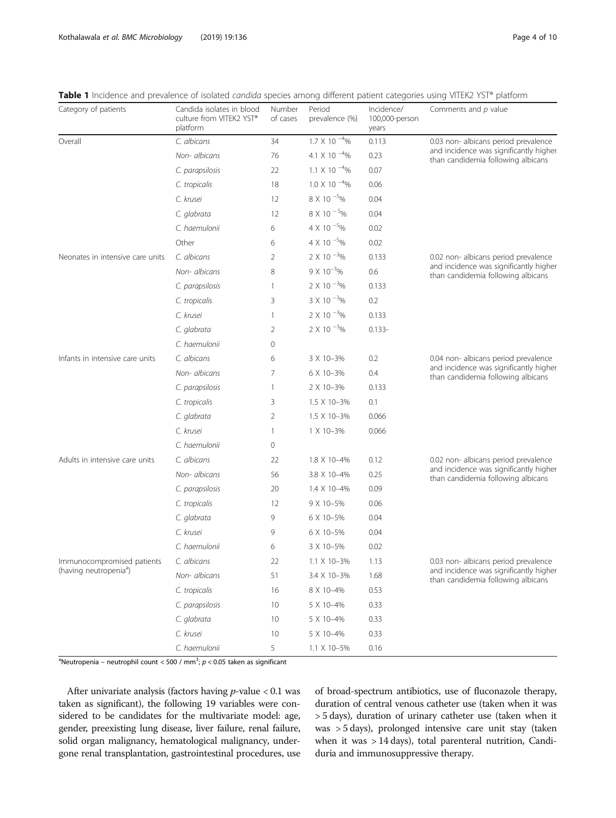<span id="page-3-0"></span>Kothalawala et al. BMC Microbiology (2019) 19:136 Page 4 of 10

Table 1 Incidence and prevalence of isolated candida species among different patient categories using VITEK2 YST® platform

| Category of patients                                             | Candida isolates in blood<br>culture from VITEK2 YST®<br>platform | Number<br>of cases | Period<br>prevalence (%)  | Incidence/<br>100,000-person<br>years | Comments and p value                                                                                                 |
|------------------------------------------------------------------|-------------------------------------------------------------------|--------------------|---------------------------|---------------------------------------|----------------------------------------------------------------------------------------------------------------------|
| Overall                                                          | C. albicans                                                       | 34                 | $1.7 \times 10^{-4}\%$    | 0.113                                 | 0.03 non- albicans period prevalence<br>and incidence was significantly higher<br>than candidemia following albicans |
|                                                                  | Non- albicans                                                     | 76                 | 4.1 X 10 $^{-4}$ %        | 0.23                                  |                                                                                                                      |
|                                                                  | C. parapsilosis                                                   | 22                 | 1.1 $\times$ 10 $^{-4}\%$ | 0.07                                  |                                                                                                                      |
|                                                                  | C. tropicalis                                                     | 18                 | $1.0 \times 10^{-4}$ %    | 0.06                                  |                                                                                                                      |
|                                                                  | C. krusei                                                         | 12                 | 8 X 10 <sup>-5</sup> %    | 0.04                                  |                                                                                                                      |
|                                                                  | C. glabrata                                                       | 12                 | $8 X 10^{-5}$ %           | 0.04                                  |                                                                                                                      |
|                                                                  | C. haemulonii                                                     | 6                  | 4 X 10 $^{-5}$ %          | 0.02                                  |                                                                                                                      |
|                                                                  | Other                                                             | 6                  | 4 X 10 $^{-5}$ %          | 0.02                                  |                                                                                                                      |
| Neonates in intensive care units                                 | C. albicans                                                       | 2                  | $2 \times 10^{-3}$ %      | 0.133                                 | 0.02 non- albicans period prevalence<br>and incidence was significantly higher<br>than candidemia following albicans |
|                                                                  | Non- albicans                                                     | 8                  | $9 \times 10^{-3}$ %      | 0.6                                   |                                                                                                                      |
|                                                                  | C. parapsilosis                                                   | 1                  | $2 \times 10^{-3}$ %      | 0.133                                 |                                                                                                                      |
|                                                                  | C. tropicalis                                                     | 3                  | $3 \times 10^{-3}$ %      | 0.2                                   |                                                                                                                      |
|                                                                  | C. krusei                                                         | $\mathbf{1}$       | $2 \times 10^{-3}$ %      | 0.133                                 |                                                                                                                      |
|                                                                  | C. glabrata                                                       | 2                  | $2 \times 10^{-3}$ %      | $0.133 -$                             |                                                                                                                      |
|                                                                  | C. haemulonii                                                     | 0                  |                           |                                       |                                                                                                                      |
| Infants in intensive care units                                  | C. albicans                                                       | 6                  | 3 X 10-3%                 | 0.2                                   | 0.04 non- albicans period prevalence<br>and incidence was significantly higher<br>than candidemia following albicans |
|                                                                  | Non- albicans                                                     | 7                  | 6 X 10-3%                 | 0.4                                   |                                                                                                                      |
|                                                                  | C. parapsilosis                                                   | $\mathbf{1}$       | 2 X 10-3%                 | 0.133                                 |                                                                                                                      |
|                                                                  | C. tropicalis                                                     | 3                  | 1.5 X 10-3%               | 0.1                                   |                                                                                                                      |
|                                                                  | C. glabrata                                                       | 2                  | 1.5 X 10-3%               | 0.066                                 |                                                                                                                      |
|                                                                  | C. krusei                                                         | 1                  | 1 X 10-3%                 | 0.066                                 |                                                                                                                      |
|                                                                  | C. haemulonii                                                     | 0                  |                           |                                       |                                                                                                                      |
| Adults in intensive care units                                   | C. albicans                                                       | 22                 | 1.8 X 10-4%               | 0.12                                  | 0.02 non- albicans period prevalence<br>and incidence was significantly higher<br>than candidemia following albicans |
|                                                                  | Non- albicans                                                     | 56                 | 3.8 X 10-4%               | 0.25                                  |                                                                                                                      |
|                                                                  | C. parapsilosis                                                   | 20                 | 1.4 X 10-4%               | 0.09                                  |                                                                                                                      |
|                                                                  | C. tropicalis                                                     | 12                 | 9 X 10-5%                 | 0.06                                  |                                                                                                                      |
|                                                                  | C. glabrata                                                       | 9                  | 6 X 10-5%                 | 0.04                                  |                                                                                                                      |
|                                                                  | C. krusei                                                         | 9                  | 6 X 10-5%                 | 0.04                                  |                                                                                                                      |
|                                                                  | C. haemulonii                                                     | 6                  | 3 X 10-5%                 | 0.02                                  |                                                                                                                      |
| Immunocompromised patients<br>(having neutropenia <sup>a</sup> ) | C. albicans                                                       | 22                 | 1.1 X 10-3%               | 1.13                                  | 0.03 non- albicans period prevalence<br>and incidence was significantly higher<br>than candidemia following albicans |
|                                                                  | Non- albicans                                                     | 51                 | 3.4 X 10-3%               | 1.68                                  |                                                                                                                      |
|                                                                  | C. tropicalis                                                     | 16                 | 8 X 10-4%                 | 0.53                                  |                                                                                                                      |
|                                                                  | C. parapsilosis                                                   | 10                 | 5 X 10-4%                 | 0.33                                  |                                                                                                                      |
|                                                                  | C. glabrata                                                       | 10                 | 5 X 10-4%                 | 0.33                                  |                                                                                                                      |
|                                                                  | C. krusei                                                         | 10                 | 5 X 10-4%                 | 0.33                                  |                                                                                                                      |
|                                                                  | C. haemulonii                                                     | 5                  | 1.1 X 10-5%               | 0.16                                  |                                                                                                                      |

<sup>a</sup>Neutropenia – neutrophil count < 500 / mm<sup>3</sup>;  $p$  < 0.05 taken as significant

After univariate analysis (factors having  $p$ -value < 0.1 was taken as significant), the following 19 variables were considered to be candidates for the multivariate model: age, gender, preexisting lung disease, liver failure, renal failure, solid organ malignancy, hematological malignancy, undergone renal transplantation, gastrointestinal procedures, use

of broad-spectrum antibiotics, use of fluconazole therapy, duration of central venous catheter use (taken when it was > 5 days), duration of urinary catheter use (taken when it was > 5 days), prolonged intensive care unit stay (taken when it was > 14 days), total parenteral nutrition, Candiduria and immunosuppressive therapy.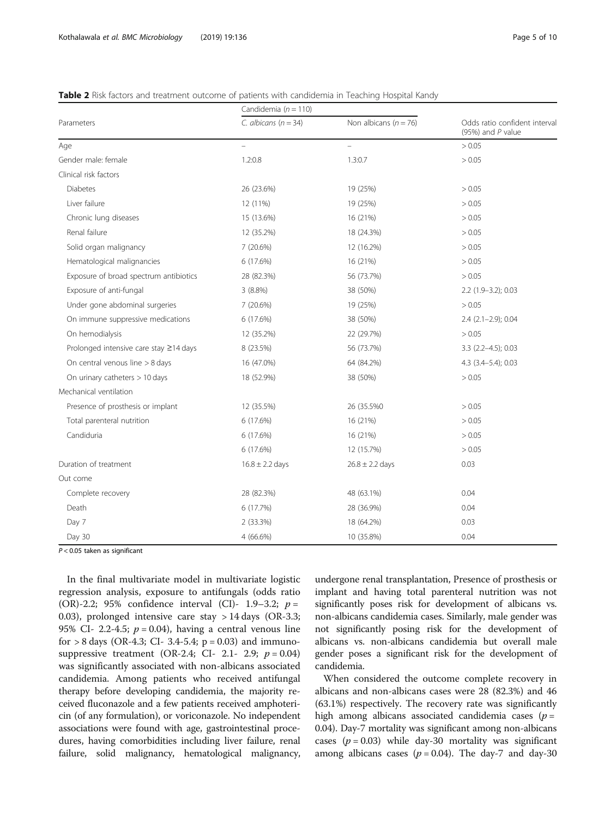#### <span id="page-4-0"></span>Table 2 Risk factors and treatment outcome of patients with candidemia in Teaching Hospital Kandy

|                                        | Candidemia ( $n = 110$ ) |                           |                                                      |  |
|----------------------------------------|--------------------------|---------------------------|------------------------------------------------------|--|
| Parameters                             | C. albicans ( $n = 34$ ) | Non albicans ( $n = 76$ ) | Odds ratio confident interval<br>(95%) and $P$ value |  |
| Age                                    | $\equiv$                 | $\overline{\phantom{0}}$  | > 0.05                                               |  |
| Gender male: female                    | 1.2:0.8                  | 1.3:0.7                   | > 0.05                                               |  |
| Clinical risk factors                  |                          |                           |                                                      |  |
| Diabetes                               | 26 (23.6%)               | 19 (25%)                  | > 0.05                                               |  |
| Liver failure                          | 12 (11%)                 | 19 (25%)                  | > 0.05                                               |  |
| Chronic lung diseases                  | 15 (13.6%)               | 16 (21%)                  | > 0.05                                               |  |
| Renal failure                          | 12 (35.2%)               | 18 (24.3%)                | > 0.05                                               |  |
| Solid organ malignancy                 | 7 (20.6%)                | 12 (16.2%)                | > 0.05                                               |  |
| Hematological malignancies             | 6 (17.6%)                | 16 (21%)                  | > 0.05                                               |  |
| Exposure of broad spectrum antibiotics | 28 (82.3%)               | 56 (73.7%)                | > 0.05                                               |  |
| Exposure of anti-fungal                | 3(8.8%)                  | 38 (50%)                  | $2.2$ (1.9-3.2); 0.03                                |  |
| Under gone abdominal surgeries         | 7(20.6%)                 | 19 (25%)                  | > 0.05                                               |  |
| On immune suppressive medications      | 6 (17.6%)                | 38 (50%)                  | $2.4$ ( $2.1 - 2.9$ ); 0.04                          |  |
| On hemodialysis                        | 12 (35.2%)               | 22 (29.7%)                | > 0.05                                               |  |
| Prolonged intensive care stay ≥14 days | 8 (23.5%)                | 56 (73.7%)                | $3.3$ (2.2-4.5); 0.03                                |  |
| On central venous line > 8 days        | 16 (47.0%)               | 64 (84.2%)                | 4.3 (3.4-5.4); 0.03                                  |  |
| On urinary catheters > 10 days         | 18 (52.9%)               | 38 (50%)                  | > 0.05                                               |  |
| Mechanical ventilation                 |                          |                           |                                                      |  |
| Presence of prosthesis or implant      | 12 (35.5%)               | 26 (35.5%0)               | > 0.05                                               |  |
| Total parenteral nutrition             | 6 (17.6%)                | 16 (21%)                  | > 0.05                                               |  |
| Candiduria                             | 6(17.6%)                 | 16 (21%)                  | > 0.05                                               |  |
|                                        | 6(17.6%)                 | 12 (15.7%)                | > 0.05                                               |  |
| Duration of treatment                  | $16.8 \pm 2.2$ days      | $26.8 \pm 2.2$ days       | 0.03                                                 |  |
| Out come                               |                          |                           |                                                      |  |
| Complete recovery                      | 28 (82.3%)               | 48 (63.1%)                | 0.04                                                 |  |
| Death                                  | 6 (17.7%)                | 28 (36.9%)                | 0.04                                                 |  |
| Day 7                                  | 2 (33.3%)                | 18 (64.2%)                | 0.03                                                 |  |
| Day 30                                 | $4(66.6\%)$              | 10 (35.8%)                | 0.04                                                 |  |

 $P < 0.05$  taken as significant

In the final multivariate model in multivariate logistic regression analysis, exposure to antifungals (odds ratio (OR)-2.2; 95% confidence interval (CI)- 1.9–3.2;  $p =$ 0.03), prolonged intensive care stay > 14 days (OR-3.3; 95% CI- 2.2-4.5;  $p = 0.04$ ), having a central venous line for  $> 8$  days (OR-4.3; CI- 3.4-5.4; p = 0.03) and immunosuppressive treatment (OR-2.4; CI- 2.1- 2.9;  $p = 0.04$ ) was significantly associated with non-albicans associated candidemia. Among patients who received antifungal therapy before developing candidemia, the majority received fluconazole and a few patients received amphotericin (of any formulation), or voriconazole. No independent associations were found with age, gastrointestinal procedures, having comorbidities including liver failure, renal failure, solid malignancy, hematological malignancy,

undergone renal transplantation, Presence of prosthesis or implant and having total parenteral nutrition was not significantly poses risk for development of albicans vs. non-albicans candidemia cases. Similarly, male gender was not significantly posing risk for the development of albicans vs. non-albicans candidemia but overall male gender poses a significant risk for the development of candidemia.

When considered the outcome complete recovery in albicans and non-albicans cases were 28 (82.3%) and 46 (63.1%) respectively. The recovery rate was significantly high among albicans associated candidemia cases  $(p =$ 0.04). Day-7 mortality was significant among non-albicans cases ( $p = 0.03$ ) while day-30 mortality was significant among albicans cases ( $p = 0.04$ ). The day-7 and day-30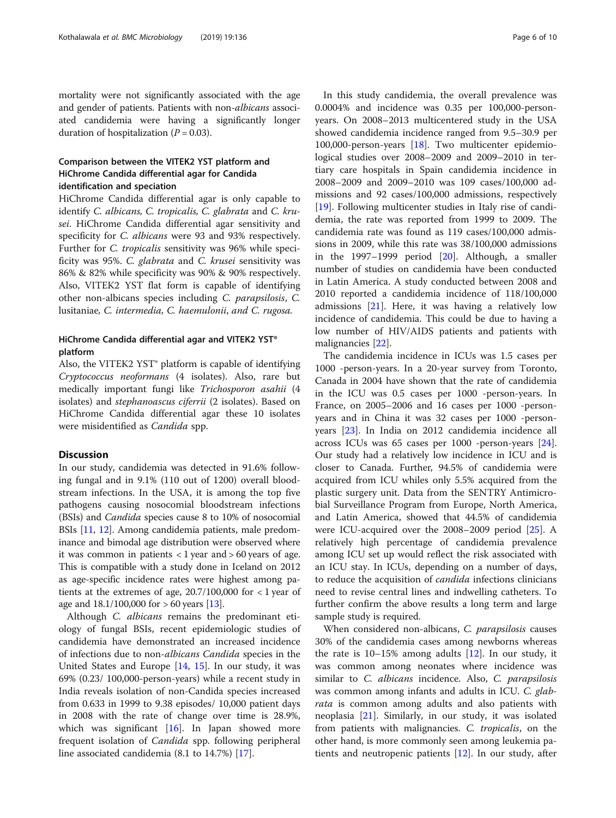mortality were not significantly associated with the age and gender of patients. Patients with non-albicans associated candidemia were having a significantly longer duration of hospitalization  $(P = 0.03)$ .

#### Comparison between the VITEK2 YST platform and HiChrome Candida differential agar for Candida identification and speciation

HiChrome Candida differential agar is only capable to identify C. albicans, C. tropicalis, C. glabrata and C. krusei. HiChrome Candida differential agar sensitivity and specificity for C. albicans were 93 and 93% respectively. Further for C. tropicalis sensitivity was 96% while specificity was 95%. C. glabrata and C. krusei sensitivity was 86% & 82% while specificity was 90% & 90% respectively. Also, VITEK2 YST flat form is capable of identifying other non-albicans species including C. parapsilosis, C. lusitaniae, C. intermedia, C. haemulonii, and C. rugosa.

#### HiChrome Candida differential agar and VITEK2 YST® platform

Also, the VITEK2 YST® platform is capable of identifying Cryptococcus neoformans (4 isolates). Also, rare but medically important fungi like Trichosporon asahii (4 isolates) and stephanoascus ciferrii (2 isolates). Based on HiChrome Candida differential agar these 10 isolates were misidentified as Candida spp.

#### **Discussion**

In our study, candidemia was detected in 91.6% following fungal and in 9.1% (110 out of 1200) overall bloodstream infections. In the USA, it is among the top five pathogens causing nosocomial bloodstream infections (BSIs) and Candida species cause 8 to 10% of nosocomial BSIs [[11](#page-8-0), [12](#page-8-0)]. Among candidemia patients, male predominance and bimodal age distribution were observed where it was common in patients  $<$  1 year and  $>$  60 years of age. This is compatible with a study done in Iceland on 2012 as age-specific incidence rates were highest among patients at the extremes of age,  $20.7/100,000$  for  $< 1$  year of age and  $18.1/100,000$  for  $> 60$  years [\[13\]](#page-8-0).

Although *C. albicans* remains the predominant etiology of fungal BSIs, recent epidemiologic studies of candidemia have demonstrated an increased incidence of infections due to non-albicans Candida species in the United States and Europe [[14,](#page-8-0) [15\]](#page-8-0). In our study, it was 69% (0.23/ 100,000-person-years) while a recent study in India reveals isolation of non-Candida species increased from 0.633 in 1999 to 9.38 episodes/ 10,000 patient days in 2008 with the rate of change over time is 28.9%, which was significant [\[16\]](#page-8-0). In Japan showed more frequent isolation of Candida spp. following peripheral line associated candidemia (8.1 to 14.7%) [[17\]](#page-8-0).

In this study candidemia, the overall prevalence was 0.0004% and incidence was 0.35 per 100,000-personyears. On 2008–2013 multicentered study in the USA showed candidemia incidence ranged from 9.5–30.9 per 100,000-person-years [\[18](#page-8-0)]. Two multicenter epidemiological studies over 2008–2009 and 2009–2010 in tertiary care hospitals in Spain candidemia incidence in 2008–2009 and 2009–2010 was 109 cases/100,000 admissions and 92 cases/100,000 admissions, respectively [[19\]](#page-8-0). Following multicenter studies in Italy rise of candidemia, the rate was reported from 1999 to 2009. The candidemia rate was found as 119 cases/100,000 admissions in 2009, while this rate was 38/100,000 admissions in the 1997–1999 period  $[20]$  $[20]$ . Although, a smaller number of studies on candidemia have been conducted in Latin America. A study conducted between 2008 and 2010 reported a candidemia incidence of 118/100,000 admissions [\[21](#page-8-0)]. Here, it was having a relatively low incidence of candidemia. This could be due to having a low number of HIV/AIDS patients and patients with malignancies [[22](#page-8-0)].

The candidemia incidence in ICUs was 1.5 cases per 1000 -person-years. In a 20-year survey from Toronto, Canada in 2004 have shown that the rate of candidemia in the ICU was 0.5 cases per 1000 -person-years. In France, on 2005–2006 and 16 cases per 1000 -personyears and in China it was 32 cases per 1000 -personyears [[23](#page-8-0)]. In India on 2012 candidemia incidence all across ICUs was 65 cases per 1000 -person-years [\[24](#page-8-0)]. Our study had a relatively low incidence in ICU and is closer to Canada. Further, 94.5% of candidemia were acquired from ICU whiles only 5.5% acquired from the plastic surgery unit. Data from the SENTRY Antimicrobial Surveillance Program from Europe, North America, and Latin America, showed that 44.5% of candidemia were ICU-acquired over the 2008–2009 period [\[25\]](#page-8-0). A relatively high percentage of candidemia prevalence among ICU set up would reflect the risk associated with an ICU stay. In ICUs, depending on a number of days, to reduce the acquisition of *candida* infections clinicians need to revise central lines and indwelling catheters. To further confirm the above results a long term and large sample study is required.

When considered non-albicans, C. parapsilosis causes 30% of the candidemia cases among newborns whereas the rate is 10–15% among adults [[12](#page-8-0)]. In our study, it was common among neonates where incidence was similar to C. albicans incidence. Also, C. parapsilosis was common among infants and adults in ICU. C. glabrata is common among adults and also patients with neoplasia [[21\]](#page-8-0). Similarly, in our study, it was isolated from patients with malignancies. C. tropicalis, on the other hand, is more commonly seen among leukemia patients and neutropenic patients [\[12](#page-8-0)]. In our study, after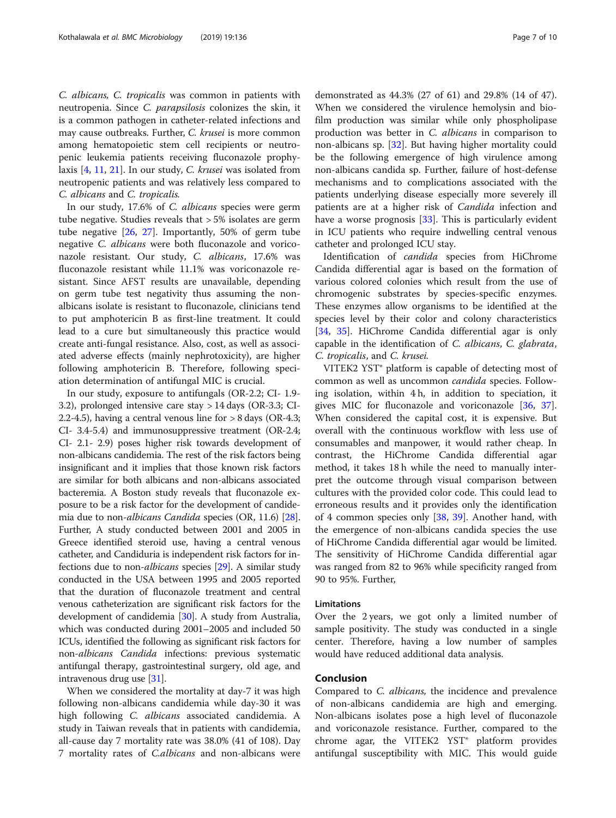C. albicans, C. tropicalis was common in patients with neutropenia. Since C. parapsilosis colonizes the skin, it is a common pathogen in catheter-related infections and may cause outbreaks. Further, C. krusei is more common among hematopoietic stem cell recipients or neutropenic leukemia patients receiving fluconazole prophylaxis [\[4,](#page-8-0) [11,](#page-8-0) [21\]](#page-8-0). In our study, C. krusei was isolated from neutropenic patients and was relatively less compared to C. albicans and C. tropicalis.

In our study, 17.6% of C. albicans species were germ tube negative. Studies reveals that > 5% isolates are germ tube negative [[26,](#page-8-0) [27](#page-8-0)]. Importantly, 50% of germ tube negative C. albicans were both fluconazole and voriconazole resistant. Our study, C. albicans, 17.6% was fluconazole resistant while 11.1% was voriconazole resistant. Since AFST results are unavailable, depending on germ tube test negativity thus assuming the nonalbicans isolate is resistant to fluconazole, clinicians tend to put amphotericin B as first-line treatment. It could lead to a cure but simultaneously this practice would create anti-fungal resistance. Also, cost, as well as associated adverse effects (mainly nephrotoxicity), are higher following amphotericin B. Therefore, following speciation determination of antifungal MIC is crucial.

In our study, exposure to antifungals (OR-2.2; CI- 1.9- 3.2), prolonged intensive care stay > 14 days (OR-3.3; CI-2.2-4.5), having a central venous line for > 8 days (OR-4.3; CI- 3.4-5.4) and immunosuppressive treatment (OR-2.4; CI- 2.1- 2.9) poses higher risk towards development of non-albicans candidemia. The rest of the risk factors being insignificant and it implies that those known risk factors are similar for both albicans and non-albicans associated bacteremia. A Boston study reveals that fluconazole exposure to be a risk factor for the development of candidemia due to non-albicans Candida species (OR, 11.6) [[28](#page-8-0)]. Further, A study conducted between 2001 and 2005 in Greece identified steroid use, having a central venous catheter, and Candiduria is independent risk factors for infections due to non-albicans species [\[29\]](#page-8-0). A similar study conducted in the USA between 1995 and 2005 reported that the duration of fluconazole treatment and central venous catheterization are significant risk factors for the development of candidemia [[30](#page-8-0)]. A study from Australia, which was conducted during 2001–2005 and included 50 ICUs, identified the following as significant risk factors for non-albicans Candida infections: previous systematic antifungal therapy, gastrointestinal surgery, old age, and intravenous drug use [\[31\]](#page-8-0).

When we considered the mortality at day-7 it was high following non-albicans candidemia while day-30 it was high following *C. albicans* associated candidemia. A study in Taiwan reveals that in patients with candidemia, all-cause day 7 mortality rate was 38.0% (41 of 108). Day 7 mortality rates of C.albicans and non-albicans were

demonstrated as 44.3% (27 of 61) and 29.8% (14 of 47). When we considered the virulence hemolysin and biofilm production was similar while only phospholipase production was better in C. *albicans* in comparison to non-albicans sp. [\[32](#page-8-0)]. But having higher mortality could be the following emergence of high virulence among non-albicans candida sp. Further, failure of host-defense mechanisms and to complications associated with the patients underlying disease especially more severely ill patients are at a higher risk of Candida infection and have a worse prognosis [\[33](#page-8-0)]. This is particularly evident in ICU patients who require indwelling central venous catheter and prolonged ICU stay.

Identification of candida species from HiChrome Candida differential agar is based on the formation of various colored colonies which result from the use of chromogenic substrates by species-specific enzymes. These enzymes allow organisms to be identified at the species level by their color and colony characteristics [[34,](#page-8-0) [35\]](#page-8-0). HiChrome Candida differential agar is only capable in the identification of C. albicans, C. glabrata, C. tropicalis, and C. krusei.

VITEK2 YST® platform is capable of detecting most of common as well as uncommon candida species. Following isolation, within 4 h, in addition to speciation, it gives MIC for fluconazole and voriconazole [[36,](#page-8-0) [37](#page-8-0)]. When considered the capital cost, it is expensive. But overall with the continuous workflow with less use of consumables and manpower, it would rather cheap. In contrast, the HiChrome Candida differential agar method, it takes 18 h while the need to manually interpret the outcome through visual comparison between cultures with the provided color code. This could lead to erroneous results and it provides only the identification of 4 common species only [\[38,](#page-8-0) [39\]](#page-9-0). Another hand, with the emergence of non-albicans candida species the use of HiChrome Candida differential agar would be limited. The sensitivity of HiChrome Candida differential agar was ranged from 82 to 96% while specificity ranged from 90 to 95%. Further,

#### Limitations

Over the 2 years, we got only a limited number of sample positivity. The study was conducted in a single center. Therefore, having a low number of samples would have reduced additional data analysis.

#### Conclusion

Compared to C. albicans, the incidence and prevalence of non-albicans candidemia are high and emerging. Non-albicans isolates pose a high level of fluconazole and voriconazole resistance. Further, compared to the chrome agar, the VITEK2 YST® platform provides antifungal susceptibility with MIC. This would guide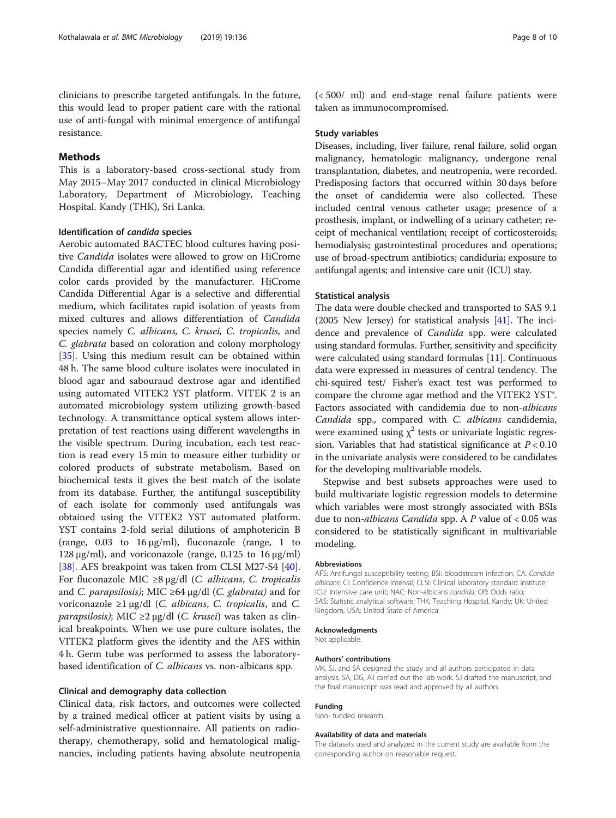#### Methods

This is a laboratory-based cross-sectional study from May 2015–May 2017 conducted in clinical Microbiology Laboratory, Department of Microbiology, Teaching Hospital. Kandy (THK), Sri Lanka.

#### Identification of candida species

Aerobic automated BACTEC blood cultures having positive Candida isolates were allowed to grow on HiCrome Candida differential agar and identified using reference color cards provided by the manufacturer. HiCrome Candida Differential Agar is a selective and differential medium, which facilitates rapid isolation of yeasts from mixed cultures and allows differentiation of Candida species namely C. albicans, C. krusei, C. tropicalis, and C. glabrata based on coloration and colony morphology [[35\]](#page-8-0). Using this medium result can be obtained within 48 h. The same blood culture isolates were inoculated in blood agar and sabouraud dextrose agar and identified using automated VITEK2 YST platform. VITEK 2 is an automated microbiology system utilizing growth-based technology. A transmittance optical system allows interpretation of test reactions using different wavelengths in the visible spectrum. During incubation, each test reaction is read every 15 min to measure either turbidity or colored products of substrate metabolism. Based on biochemical tests it gives the best match of the isolate from its database. Further, the antifungal susceptibility of each isolate for commonly used antifungals was obtained using the VITEK2 YST automated platform. YST contains 2-fold serial dilutions of amphotericin B (range, 0.03 to 16 μg/ml), fluconazole (range, 1 to 128 μg/ml), and voriconazole (range, 0.125 to 16 μg/ml) [[38\]](#page-8-0). AFS breakpoint was taken from CLSI M27-S4 [\[40](#page-9-0)]. For fluconazole MIC ≥8  $\mu$ g/dl (C. albicans, C. tropicalis and C. parapsilosis); MIC ≥64 µg/dl (C. glabrata) and for voriconazole  $\geq$ 1 μg/dl (*C. albicans*, *C. tropicalis*, and *C. parapsilosis)*; MIC ≥2 µg/dl (C. krusei) was taken as clinical breakpoints. When we use pure culture isolates, the VITEK2 platform gives the identity and the AFS within 4 h. Germ tube was performed to assess the laboratorybased identification of C. albicans vs. non-albicans spp.

#### Clinical and demography data collection

Clinical data, risk factors, and outcomes were collected by a trained medical officer at patient visits by using a self-administrative questionnaire. All patients on radiotherapy, chemotherapy, solid and hematological malignancies, including patients having absolute neutropenia

(< 500/ ml) and end-stage renal failure patients were taken as immunocompromised.

#### Study variables

Diseases, including, liver failure, renal failure, solid organ malignancy, hematologic malignancy, undergone renal transplantation, diabetes, and neutropenia, were recorded. Predisposing factors that occurred within 30 days before the onset of candidemia were also collected. These included central venous catheter usage; presence of a prosthesis, implant, or indwelling of a urinary catheter; receipt of mechanical ventilation; receipt of corticosteroids; hemodialysis; gastrointestinal procedures and operations; use of broad-spectrum antibiotics; candiduria; exposure to antifungal agents; and intensive care unit (ICU) stay.

#### Statistical analysis

The data were double checked and transported to SAS 9.1 (2005 New Jersey) for statistical analysis [[41](#page-9-0)]. The incidence and prevalence of Candida spp. were calculated using standard formulas. Further, sensitivity and specificity were calculated using standard formulas [[11](#page-8-0)]. Continuous data were expressed in measures of central tendency. The chi-squired test/ Fisher's exact test was performed to compare the chrome agar method and the VITEK2 YST®. Factors associated with candidemia due to non-albicans Candida spp., compared with C. albicans candidemia, were examined using  $\chi^2$  tests or univariate logistic regression. Variables that had statistical significance at  $P < 0.10$ in the univariate analysis were considered to be candidates for the developing multivariable models.

Stepwise and best subsets approaches were used to build multivariate logistic regression models to determine which variables were most strongly associated with BSIs due to non-*albicans Candida* spp. A  $P$  value of  $< 0.05$  was considered to be statistically significant in multivariable modeling.

#### Abbreviations

AFS: Antifungal susceptibility testing; BSI: bloodstream infection; CA: Candida albicans; CI: Confidence interval; CLSI: Clinical laboratory standard institute; ICU: Intensive care unit; NAC: Non-albicans candida; OR: Odds ratio; SAS: Statistic analytical software; THK: Teaching Hospital. Kandy; UK: United Kingdom; USA: United State of America

#### Acknowledgments

Not applicable.

#### Authors' contributions

MK, SJ, and SA designed the study and all authors participated in data analysis. SA, DG, AJ carried out the lab work. SJ drafted the manuscript, and the final manuscript was read and approved by all authors.

#### Funding

Non- funded research.

#### Availability of data and materials

The datasets used and analyzed in the current study are available from the corresponding author on reasonable request.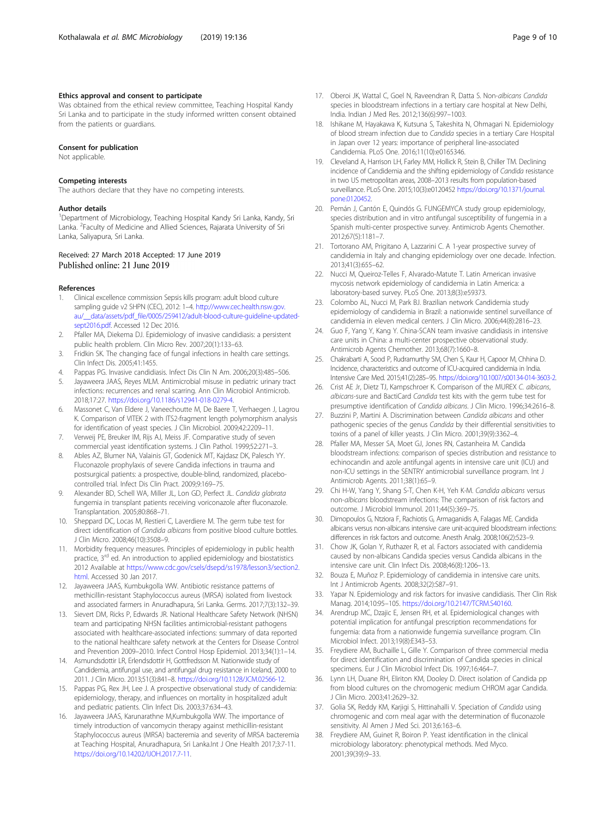#### <span id="page-8-0"></span>Ethics approval and consent to participate

Was obtained from the ethical review committee, Teaching Hospital Kandy Sri Lanka and to participate in the study informed written consent obtained from the patients or guardians.

#### Consent for publication

Not applicable.

#### Competing interests

The authors declare that they have no competing interests.

#### Author details

<sup>1</sup>Department of Microbiology, Teaching Hospital Kandy Sri Lanka, Kandy, Sri Lanka. <sup>2</sup>Faculty of Medicine and Allied Sciences, Rajarata University of Sri Lanka, Saliyapura, Sri Lanka.

# Received: 27 March 2018 Accepted: 17 June 2019

#### References

- 1. Clinical excellence commission Sepsis kills program: adult blood culture sampling guide v2 SHPN (CEC), 2012: 1–4. [http://www.cec.health.nsw.gov.](http://www.cec.health.nsw.gov.au/__data/assets/pdf_file/0005/259412/adult-blood-culture-guideline-updated-sept2016.pdf) [au/\\_\\_data/assets/pdf\\_file/0005/259412/adult-blood-culture-guideline-updated](http://www.cec.health.nsw.gov.au/__data/assets/pdf_file/0005/259412/adult-blood-culture-guideline-updated-sept2016.pdf)[sept2016.pdf](http://www.cec.health.nsw.gov.au/__data/assets/pdf_file/0005/259412/adult-blood-culture-guideline-updated-sept2016.pdf). Accessed 12 Dec 2016.
- 2. Pfaller MA, Diekema DJ. Epidemiology of invasive candidiasis: a persistent public health problem. Clin Micro Rev. 2007;20(1):133–63.
- 3. Fridkin SK. The changing face of fungal infections in health care settings. Clin Infect Dis. 2005;41:1455.
- 4. Pappas PG. Invasive candidiasis. Infect Dis Clin N Am. 2006;20(3):485–506.
- Jayaweera JAAS, Reyes MLM. Antimicrobial misuse in pediatric urinary tract infections: recurrences and renal scarring. Ann Clin Microbiol Antimicrob. 2018;17:27. <https://doi.org/10.1186/s12941-018-0279-4>.
- 6. Massonet C, Van Eldere J, Vaneechoutte M, De Baere T, Verhaegen J, Lagrou K. Comparison of VITEK 2 with ITS2-fragment length polymorphism analysis for identification of yeast species. J Clin Microbiol. 2009;42:2209–11.
- 7. Verweij PE, Breuker IM, Rijs AJ, Meiss JF. Comparative study of seven commercial yeast identification systems. J Clin Pathol. 1999;52:271–3.
- Ables AZ, Blumer NA, Valainis GT, Godenick MT, Kajdasz DK, Palesch YY. Fluconazole prophylaxis of severe Candida infections in trauma and postsurgical patients: a prospective, double-blind, randomized, placebocontrolled trial. Infect Dis Clin Pract. 2009;9:169–75.
- 9. Alexander BD, Schell WA, Miller JL, Lon GD, Perfect JL. Candida glabrata fungemia in transplant patients receiving voriconazole after fluconazole. Transplantation. 2005;80:868–71.
- 10. Sheppard DC, Locas M, Restieri C, Laverdiere M. The germ tube test for direct identification of Candida albicans from positive blood culture bottles. J Clin Micro. 2008;46(10):3508–9.
- 11. Morbidity frequency measures. Principles of epidemiology in public health practice, 3<sup>rd</sup> ed. An introduction to applied epidemiology and biostatistics 2012 Available at [https://www.cdc.gov/csels/dsepd/ss1978/lesson3/section2.](https://www.cdc.gov/csels/dsepd/ss1978/lesson3/section2.html) [html.](https://www.cdc.gov/csels/dsepd/ss1978/lesson3/section2.html) Accessed 30 Jan 2017.
- 12. Jayaweera JAAS, Kumbukgolla WW. Antibiotic resistance patterns of methicillin-resistant Staphylococcus aureus (MRSA) isolated from livestock and associated farmers in Anuradhapura, Sri Lanka. Germs. 2017;7(3):132–39.
- 13. Sievert DM, Ricks P, Edwards JR. National Healthcare Safety Network (NHSN) team and participating NHSN facilities antimicrobial-resistant pathogens associated with healthcare-associated infections: summary of data reported to the national healthcare safety network at the Centers for Disease Control and Prevention 2009–2010. Infect Control Hosp Epidemiol. 2013;34(1):1–14.
- 14. Asmundsdottir LR, Erlendsdottir H, Gottfredsson M. Nationwide study of Candidemia, antifungal use, and antifungal drug resistance in Iceland, 2000 to 2011. J Clin Micro. 2013;51(3):841–8. [https://doi.org/10.1128/JCM.02566-12.](https://doi.org/10.1128/JCM.02566-12)
- 15. Pappas PG, Rex JH, Lee J. A prospective observational study of candidemia: epidemiology, therapy, and influences on mortality in hospitalized adult and pediatric patients. Clin Infect Dis. 2003;37:634–43.
- 16. Jayaweera JAAS, Karunarathne M,Kumbukgolla WW. The importance of timely introduction of vancomycin therapy against methicillin-resistant Staphylococcus aureus (MRSA) bacteremia and severity of MRSA bacteremia at Teaching Hospital, Anuradhapura, Sri Lanka.Int J One Health 2017;3:7-11. [https://doi.org/10.14202/IJOH.2017.7-11.](https://doi.org/10.14202/IJOH.2017.7-11)
- 17. Oberoi JK, Wattal C, Goel N, Raveendran R, Datta S. Non-albicans Candida species in bloodstream infections in a tertiary care hospital at New Delhi, India. Indian J Med Res. 2012;136(6):997–1003.
- 18. Ishikane M, Hayakawa K, Kutsuna S, Takeshita N, Ohmagari N. Epidemiology of blood stream infection due to Candida species in a tertiary Care Hospital in Japan over 12 years: importance of peripheral line-associated Candidemia. PLoS One. 2016;11(10):e0165346.
- 19. Cleveland A, Harrison LH, Farley MM, Hollick R, Stein B, Chiller TM. Declining incidence of Candidemia and the shifting epidemiology of Candida resistance in two US metropolitan areas, 2008–2013 results from population-based surveillance. PLoS One. 2015;10(3):e0120452 [https://doi.org/10.1371/journal.](https://doi.org/10.1371/journal.pone.0120452) [pone.0120452.](https://doi.org/10.1371/journal.pone.0120452)
- 20. Pemán J, Cantón E, Quindós G. FUNGEMYCA study group epidemiology, species distribution and in vitro antifungal susceptibility of fungemia in a Spanish multi-center prospective survey. Antimicrob Agents Chemother. 2012;67(5):1181–7.
- 21. Tortorano AM, Prigitano A, Lazzarini C. A 1-year prospective survey of candidemia in Italy and changing epidemiology over one decade. Infection. 2013;41(3):655–62.
- 22. Nucci M, Queiroz-Telles F, Alvarado-Matute T. Latin American invasive mycosis network epidemiology of candidemia in Latin America: a laboratory-based survey. PLoS One. 2013;8(3):e59373.
- 23. Colombo AL, Nucci M, Park BJ. Brazilian network Candidemia study epidemiology of candidemia in Brazil: a nationwide sentinel surveillance of candidemia in eleven medical centers. J Clin Micro. 2006;44(8):2816–23.
- 24. Guo F, Yang Y, Kang Y. China-SCAN team invasive candidiasis in intensive care units in China: a multi-center prospective observational study. Antimicrob Agents Chemother. 2013;68(7):1660–8.
- 25. Chakrabarti A, Sood P, Rudramurthy SM, Chen S, Kaur H, Capoor M, Chhina D. Incidence, characteristics and outcome of ICU-acquired candidemia in India. Intensive Care Med. 2015;41(2):285–95. <https://doi.org/10.1007/s00134-014-3603-2>.
- 26. Crist AE Jr, Dietz TJ, Kampschroer K. Comparison of the MUREX C. albicans, albicans-sure and BactiCard Candida test kits with the germ tube test for presumptive identification of Candida albicans. J Clin Micro. 1996;34:2616–8.
- 27. Buzzini P, Martini A. Discrimination between Candida albicans and other pathogenic species of the genus Candida by their differential sensitivities to toxins of a panel of killer yeasts. J Clin Micro. 2001;39(9):3362–4.
- 28. Pfaller MA, Messer SA, Moet GJ, Jones RN, Castanheira M. Candida bloodstream infections: comparison of species distribution and resistance to echinocandin and azole antifungal agents in intensive care unit (ICU) and non-ICU settings in the SENTRY antimicrobial surveillance program. Int J Antimicrob Agents. 2011;38(1):65–9.
- 29. Chi H-W, Yang Y, Shang S-T, Chen K-H, Yeh K-M. Candida albicans versus non-albicans bloodstream infections: The comparison of risk factors and outcome. J Microbiol Immunol. 2011;44(5):369–75.
- 30. Dimopoulos G, Ntziora F, Rachiotis G, Armaganidis A, Falagas ME. Candida albicans versus non-albicans intensive care unit-acquired bloodstream infections: differences in risk factors and outcome. Anesth Analg. 2008;106(2):523–9.
- 31. Chow JK, Golan Y, Ruthazer R, et al. Factors associated with candidemia caused by non-albicans Candida species versus Candida albicans in the intensive care unit. Clin Infect Dis. 2008;46(8):1206–13.
- 32. Bouza E, Muñoz P. Epidemiology of candidemia in intensive care units. Int J Antimicrob Agents. 2008;32(2):S87–91.
- 33. Yapar N. Epidemiology and risk factors for invasive candidiasis. Ther Clin Risk Manag. 2014;10:95–105. <https://doi.org/10.2147/TCRM.S40160>.
- 34. Arendrup MC, Dzajic E, Jensen RH, et al. Epidemiological changes with potential implication for antifungal prescription recommendations for fungemia: data from a nationwide fungemia surveillance program. Clin Microbiol Infect. 2013;19(8):E343–53.
- 35. Freydiere AM, Buchaille L, Gille Y. Comparison of three commercial media for direct identification and discrimination of Candida species in clinical specimens. Eur J Clin Microbiol Infect Dis. 1997;16:464–7.
- 36. Lynn LH, Duane RH, Eliriton KM, Dooley D. Direct isolation of Candida pp from blood cultures on the chromogenic medium CHROM agar Candida. J Clin Micro. 2003;41:2629–32.
- 37. Golia SK, Reddy KM, Karjigi S, Hittinahalli V. Speciation of Candida using chromogenic and corn meal agar with the determination of fluconazole sensitivity. Al Amen J Med Sci. 2013;6:163–6.
- 38. Freydiere AM, Guinet R, Boiron P. Yeast identification in the clinical microbiology laboratory: phenotypical methods. Med Myco. 2001;39(39):9–33.